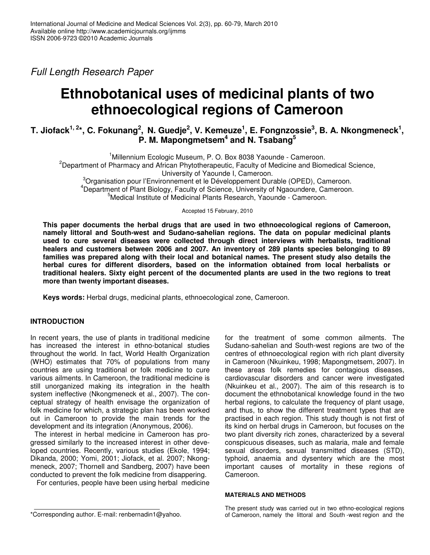*Full Length Research Paper*

# **Ethnobotanical uses of medicinal plants of two ethnoecological regions of Cameroon**

# T. Jiofack $^{1,\,2*}$ , C. Fokunang $^2$ , N. Guedje $^2$ , V. Kemeuze $^1$ , E. Fongnzossie $^3$ , B. A. Nkongmeneck $^1$ , **P. M. Mapongmetsem 4 and N. Tsabang 5**

<sup>1</sup>Millennium Ecologic Museum, P. O. Box 8038 Yaounde - Cameroon. <sup>2</sup>Department of Pharmacy and African Phytotherapeutic, Faculty of Medicine and Biomedical Science, University of Yaounde I, Cameroon. <sup>3</sup>Organisation pour l'Environnement et le Développement Durable (OPED), Cameroon. <sup>4</sup>Department of Plant Biology, Faculty of Science, University of Ngaoundere, Cameroon. <sup>5</sup>Medical Institute of Medicinal Plants Research, Yaounde - Cameroon.

Accepted 15 February, 2010

**This paper documents the herbal drugs that are used in two ethnoecological regions of Cameroon, namely littoral and South-west and Sudano-sahelian regions. The data on popular medicinal plants used to cure several diseases were collected through direct interviews with herbalists, traditional healers and customers between 2006 and 2007. An inventory of 289 plants species belonging to 89 families was prepared along with their local and botanical names. The present study also details the herbal cures for different disorders, based on the information obtained from local herbalists or traditional healers. Sixty eight percent of the documented plants are used in the two regions to treat more than twenty important diseases.**

**Keys words:** Herbal drugs, medicinal plants, ethnoecological zone, Cameroon.

# **INTRODUCTION**

In recent years, the use of plants in traditional medicine has increased the interest in ethno-botanical studies throughout the world. In fact, World Health Organization (WHO) estimates that 70% of populations from many countries are using traditional or folk medicine to cure various ailments. In Cameroon, the traditional medicine is still unorganized making its integration in the health system ineffective (Nkongmeneck et al., 2007). The conceptual strategy of health envisage the organization of folk medicine for which, a strategic plan has been worked out in Cameroon to provide the main trends for the development and its integration (Anonymous, 2006).

The interest in herbal medicine in Cameroon has progressed similarly to the increased interest in other developed countries. Recently, various studies (Ekole, 1994; Dikanda, 2000; Yomi, 2001; Jiofack, et al. 2007; Nkongmeneck, 2007; Thornell and Sandberg, 2007) have been conducted to prevent the folk medicine from disappering.

For centuries, people have been using herbal medicine

for the treatment of some common ailments. The Sudano-sahelian and South-west regions are two of the centres of ethnoecological region with rich plant diversity in Cameroon (Nkuinkeu, 1998; Mapongmetsem, 2007). In these areas folk remedies for contagious diseases, cardiovascular disorders and cancer were investigated (Nkuinkeu et al., 2007). The aim of this research is to document the ethnobotanical knowledge found in the two herbal regions, to calculate the frequency of plant usage, and thus, to show the different treatment types that are practised in each region. This study though is not first of its kind on herbal drugs in Cameroon, but focuses on the two plant diversity rich zones, characterized by a several conspicuous diseases, such as malaria, male and female sexual disorders, sexual transmitted diseases (STD), typhoid, anaemia and dysentery which are the most important causes of mortality in these regions of Cameroon.

#### **MATERIALS AND METHODS**

The present study was carried out in two ethno-ecological regions of Cameroon, namely the littoral and South -west region and the

<sup>\*</sup>Corresponding author. E-mail: renbernadin1@yahoo.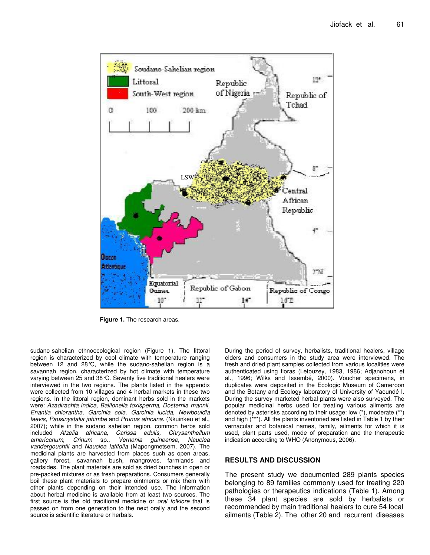

**Figure 1.** The research areas.

sudano-sahelian ethnoecological region (Figure 1). The littoral region is characterized by cool climate with temperature ranging between 12 and 28°C, while the sudano-sahelian region is a savannah region, characterized by hot climate with temperature varying between 25 and 38°C. Seventy five traditional healers were interviewed in the two regions. The plants listed in the appendix were collected from 10 villages and 4 herbal markets in these two regions. In the littoral region, dominant herbs sold in the markets were: *Azadirachta indica, Baillonella toxisperma, Dosternia mannii, Enantia chlorantha, Garcinia cola, Garcinia lucida, Newbouldia laevis, Pausinystalia johimbe* and *Prunus africana.* (Nkuinkeu et al., 2007); while in the sudano sahelian region, common herbs sold included *Afzelia africana, Carissa edulis, Chrysanthellum americanum, Crinum* sp*., Vernonia guineense, Nauclea vandergouchtii* and *Nauclea latifolia* (Mapongmetsem, 2007). The medicinal plants are harvested from places such as open areas, gallery forest, savannah bush, mangroves, farmlands and roadsides. The plant materials are sold as dried bunches in open or pre-packed mixtures or as fresh preparations. Consumers generally boil these plant materials to prepare ointments or mix them with other plants depending on their intended use. The information about herbal medicine is available from at least two sources. The first source is the old traditional medicine or *oral folklore* that is passed on from one generation to the next orally and the second source is scientific literature or herbals.

During the period of survey, herbalists, traditional healers, village elders and consumers in the study area were interviewed. The fresh and dried plant samples collected from various localities were authenticated using floras (Letouzey, 1983, 1986; Adjanohoun et al., 1996; Wilks and Issembé, 2000). Voucher specimens, in duplicates were deposited in the Ecologic Museum of Cameroon and the Botany and Ecology laboratory of University of Yaoundé I. During the survey marketed herbal plants were also surveyed. The popular medicinal herbs used for treating various ailments are denoted by asterisks according to their usage: low (\*), moderate (\*\*) and high (\*\*\*). All the plants inventoried are listed in Table 1 by their vernacular and botanical names, family, ailments for which it is used, plant parts used, mode of preparation and the therapeutic indication according to WHO (Anonymous, 2006).

# **RESULTS AND DISCUSSION**

The present study we documented 289 plants species belonging to 89 families commonly used for treating 220 pathologies or therapeutics indications (Table 1). Among these 34 plant species are sold by herbalists or recommended by main traditional healers to cure 54 local ailments (Table 2). The other 20 and recurrent diseases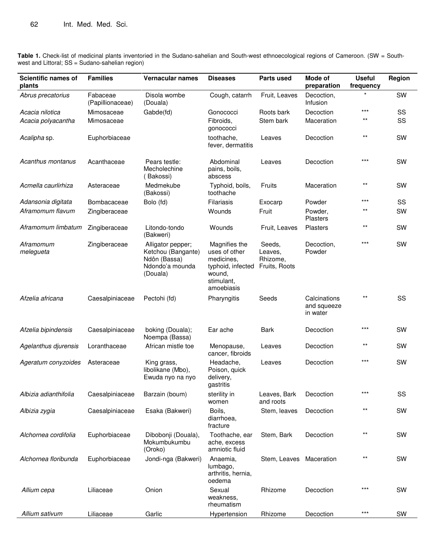**Table 1.** Check-list of medicinal plants inventoried in the Sudano-sahelian and South-west ethnoecological regions of Cameroon. (SW = Southwest and Littoral; SS = Sudano-sahelian region)

| Scientific names of<br>plants         | <b>Families</b>              | Vernacular names                                                                       | <b>Diseases</b>                                                                                         | <b>Parts used</b>                              | Mode of<br>preparation                  | <b>Useful</b><br>frequency | Region   |
|---------------------------------------|------------------------------|----------------------------------------------------------------------------------------|---------------------------------------------------------------------------------------------------------|------------------------------------------------|-----------------------------------------|----------------------------|----------|
| Abrus precatorius                     | Fabaceae<br>(Papillionaceae) | Disola wombe<br>(Douala)                                                               | Cough, catarrh                                                                                          | Fruit, Leaves                                  | Decoction,<br>Infusion                  |                            | SW       |
| Acacia nilotica<br>Acacia polyacantha | Mimosaceae<br>Mimosaceae     | Gabde(fd)                                                                              | Gonococci<br>Fibroids,<br>gonococci                                                                     | Roots bark<br>Stem bark                        | Decoction<br>Maceration                 | $***$<br>$***$             | SS<br>SS |
| Acalipha sp.                          | Euphorbiaceae                |                                                                                        | toothache,<br>fever, dermatitis                                                                         | Leaves                                         | Decoction                               | $***$                      | SW       |
| Acanthus montanus                     | Acanthaceae                  | Pears testle:<br>Mecholechine<br>(Bakossi)                                             | Abdominal<br>pains, boils,<br>abscess                                                                   | Leaves                                         | Decoction                               | $***$                      | SW       |
| Acmella caurlirhiza                   | Asteraceae                   | Medmekube<br>(Bakossi)                                                                 | Typhoid, boils,<br>toothache                                                                            | Fruits                                         | Maceration                              | $^{\star\star}$            | SW       |
| Adansonia digitata                    | Bombacaceae                  | Bolo (fd)                                                                              | Filariasis                                                                                              | Exocarp                                        | Powder                                  | $***$                      | SS       |
| Aframomum flavum                      | Zingiberaceae                |                                                                                        | Wounds                                                                                                  | Fruit                                          | Powder,<br>Plasters                     | $***$                      | SW       |
| Aframomum limbatum                    | Zingiberaceae                | Litondo-tondo<br>(Bakweri)                                                             | Wounds                                                                                                  | Fruit, Leaves                                  | Plasters                                | $***$                      | SW       |
| Aframomum<br>melegueta                | Zingiberaceae                | Alligator pepper;<br>Ketchou (Bangante)<br>Ndôn (Bassa)<br>Ndondo'a mounda<br>(Douala) | Magnifies the<br>uses of other<br>medicines,<br>typhoid, infected<br>wound,<br>stimulant,<br>amoebiasis | Seeds,<br>Leaves,<br>Rhizome,<br>Fruits, Roots | Decoction,<br>Powder                    | $***$                      | SW       |
| Afzelia africana                      | Caesalpiniaceae              | Pectohi (fd)                                                                           | Pharyngitis                                                                                             | Seeds                                          | Calcinations<br>and squeeze<br>in water | $***$                      | SS       |
| Afzelia bipindensis                   | Caesalpiniaceae              | boking (Douala);<br>Noempa (Bassa)                                                     | Ear ache                                                                                                | <b>Bark</b>                                    | Decoction                               | $***$                      | SW       |
| Agelanthus djurensis                  | Loranthaceae                 | African mistle toe                                                                     | Menopause,<br>cancer, fibroids                                                                          | Leaves                                         | Decoction                               | $***$                      | SW       |
| Ageratum conyzoides                   | Asteraceae                   | King grass,<br>libolikane (Mbo),<br>Ewuda nyo na nyo                                   | Headache,<br>Poison, quick<br>delivery,<br>gastritis                                                    | Leaves                                         | Decoction                               | $***$                      | SW       |
| Albizia adianthifolia                 | Caesalpiniaceae              | Barzain (boum)                                                                         | sterility in<br>women                                                                                   | Leaves, Bark<br>and roots                      | Decoction                               | ***                        | SS       |
| Albizia zygia                         | Caesalpiniaceae              | Esaka (Bakweri)                                                                        | Boils,<br>diarrhoea.<br>fracture                                                                        | Stem, leaves                                   | Decoction                               | $***$                      | SW       |
| Alchornea cordifolia                  | Euphorbiaceae                | Dibobonji (Douala),<br>Mokumbukumbu<br>(Oroko)                                         | Toothache, ear<br>ache, excess<br>amniotic fluid                                                        | Stem, Bark                                     | Decoction                               | $***$                      | SW       |
| Alchornea floribunda                  | Euphorbiaceae                | Jondi-nga (Bakweri)                                                                    | Anaemia,<br>lumbago,<br>arthritis, hernia,<br>oedema                                                    | Stem, Leaves Maceration                        |                                         | $^{\star\star}$            | SW       |
| Allium cepa                           | Liliaceae                    | Onion                                                                                  | Sexual<br>weakness,<br>rheumatism                                                                       | Rhizome                                        | Decoction                               | $***$                      | SW       |
| Allium sativum                        | Liliaceae                    | Garlic                                                                                 | Hypertension                                                                                            | Rhizome                                        | Decoction                               | $***$                      | SW       |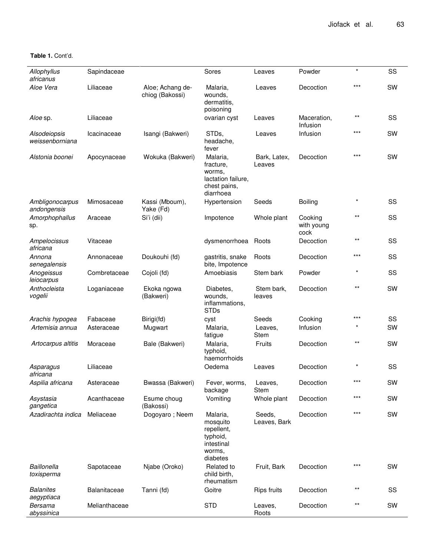| Allophyllus<br>africanus         | Sapindaceae   |                                     | Sores                                                                              | Leaves                 | Powder                        | $\star$  | SS |
|----------------------------------|---------------|-------------------------------------|------------------------------------------------------------------------------------|------------------------|-------------------------------|----------|----|
| Aloe Vera                        | Liliaceae     | Aloe; Achang de-<br>chiog (Bakossi) | Malaria,<br>wounds,<br>dermatitis.<br>poisoning                                    | Leaves                 | Decoction                     | $***$    | SW |
| Aloe sp.                         | Liliaceae     |                                     | ovarian cyst                                                                       | Leaves                 | Maceration,<br>Infusion       | $***$    | SS |
| Alsodeiopsis<br>weissenborniana  | Icacinaceae   | Isangi (Bakweri)                    | STDs,<br>headache,<br>fever                                                        | Leaves                 | Infusion                      | $***$    | SW |
| Alstonia boonei                  | Apocynaceae   | Wokuka (Bakweri)                    | Malaria,<br>fracture,<br>worms,<br>lactation failure,<br>chest pains,<br>diarrhoea | Bark, Latex,<br>Leaves | Decoction                     | $***$    | SW |
| Ambligonocarpus<br>andongensis   | Mimosaceae    | Kassi (Mboum),<br>Yake (Fd)         | Hypertension                                                                       | Seeds                  | Boiling                       | $^\star$ | SS |
| Amorphophallus<br>sp.            | Araceae       | Si'i (dii)                          | Impotence                                                                          | Whole plant            | Cooking<br>with young<br>cock | $***$    | SS |
| Ampelocissus<br>africana         | Vitaceae      |                                     | dysmenorrhoea                                                                      | Roots                  | Decoction                     | $***$    | SS |
| Annona<br>senegalensis           | Annonaceae    | Doukouhi (fd)                       | gastritis, snake<br>bite, Impotence                                                | Roots                  | Decoction                     | $***$    | SS |
| Anogeissus<br>leiocarpus         | Combretaceae  | Cojoli (fd)                         | Amoebiasis                                                                         | Stem bark              | Powder                        |          | SS |
| Anthocleista<br>vogelii          | Loganiaceae   | Ekoka ngowa<br>(Bakweri)            | Diabetes,<br>wounds,<br>inflammations,<br><b>STDs</b>                              | Stem bark,<br>leaves   | Decoction                     | $***$    | SW |
| Arachis hypogea                  | Fabaceae      | Birigi(fd)                          | cyst                                                                               | Seeds                  | Cooking                       | $***$    | SS |
| Artemisia annua                  | Asteraceae    | Mugwart                             | Malaria,<br>fatigue                                                                | Leaves,<br><b>Stem</b> | Infusion                      |          | SW |
| Artocarpus altitis               | Moraceae      | Bale (Bakweri)                      | Malaria,<br>typhoid,<br>haemorrhoids                                               | Fruits                 | Decoction                     | $***$    | SW |
| Asparagus<br>africana            | Liliaceae     |                                     | Oedema                                                                             | Leaves                 | Decoction                     |          | SS |
| Aspilia africana                 | Asteraceae    | Bwassa (Bakweri)                    | Fever, worms,<br>backage                                                           | Leaves,<br>Stem        | Decoction                     | $***$    | SW |
| Asystasia<br>gangetica           | Acanthaceae   | Esume choug<br>(Bakossi)            | Vomiting                                                                           | Whole plant            | Decoction                     | $***$    | SW |
| Azadirachta indica               | Meliaceae     | Dogoyaro; Neem                      | Malaria,<br>mosquito<br>repellent,<br>typhoid,<br>intestinal<br>worms.<br>diabetes | Seeds,<br>Leaves, Bark | Decoction                     | $***$    | SW |
| <b>Baillonella</b><br>toxisperma | Sapotaceae    | Njabe (Oroko)                       | Related to<br>child birth,<br>rheumatism                                           | Fruit, Bark            | Decoction                     | $***$    | SW |
| <b>Balanites</b><br>aegyptiaca   | Balanitaceae  | Tanni (fd)                          | Goitre                                                                             | Rips fruits            | Decoction                     | $***$    | SS |
| Bersama<br>abyssinica            | Melianthaceae |                                     | <b>STD</b>                                                                         | Leaves,<br>Roots       | Decoction                     | $***$    | SW |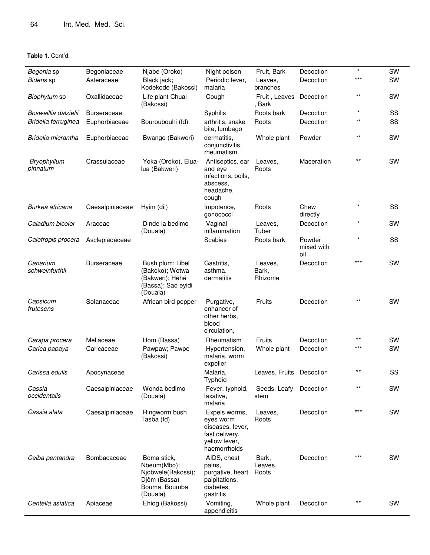| Begonia sp                 | Begoniaceae        | Njabe (Oroko)                                                                                 | Night poison                                                                                      | Fruit, Bark                 | Decoction                   | $\star$         | SW |
|----------------------------|--------------------|-----------------------------------------------------------------------------------------------|---------------------------------------------------------------------------------------------------|-----------------------------|-----------------------------|-----------------|----|
| Bidens sp                  | Asteraceae         | Black jack;<br>Kodekode (Bakossi)                                                             | Periodic fever,<br>malaria                                                                        | Leaves,<br>branches         | Decoction                   | $***$           | SW |
| Biophytum sp               | Oxallidaceae       | Life plant Chual<br>(Bakossi)                                                                 | Cough                                                                                             | Fruit, Leaves<br>, Bark     | Decoction                   | $***$           | SW |
| Bosweillia dalzielii       | Burseraceae        |                                                                                               | Syphilis                                                                                          | Roots bark                  | Decoction                   | $\star$         | SS |
| Bridelia ferruginea        | Euphorbiaceae      | Bouroubouhi (fd)                                                                              | arthritis, snake<br>bite, lumbago                                                                 | Roots                       | Decoction                   | $***$           | SS |
| Bridelia micrantha         | Euphorbiaceae      | Bwango (Bakweri)                                                                              | dermatitis.<br>conjunctivitis,<br>rheumatism                                                      | Whole plant                 | Powder                      | $***$           | SW |
| Bryophyllum<br>pinnatum    | Crassulaceae       | Yoka (Oroko), Elua-<br>lua (Bakweri)                                                          | Antiseptics, ear<br>and eye<br>infections, boils,<br>abscess.<br>headache,<br>cough               | Leaves,<br>Roots            | Maceration                  | $^{\star\star}$ | SW |
| Burkea africana            | Caesalpiniaceae    | Hyim (dii)                                                                                    | Impotence,<br>gonococci                                                                           | Roots                       | Chew<br>directly            | $\star$         | SS |
| Caladium bicolor           | Araceae            | Dinde la bedimo<br>(Douala)                                                                   | Vaginal<br>inflammation                                                                           | Leaves,<br>Tuber            | Decoction                   | $^\star$        | SW |
| Calotropis procera         | Asclepiadaceae     |                                                                                               | Scabies                                                                                           | Roots bark                  | Powder<br>mixed with<br>oil | $\star$         | SS |
| Canarium<br>schweinfurthii | <b>Burseraceae</b> | Bush plum; Libel<br>(Bakoko); Wotwa<br>(Bakweri); Héhé<br>(Bassa); Sao eyidi<br>(Douala)      | Gastritis,<br>asthma.<br>dermatitis                                                               | Leaves,<br>Bark,<br>Rhizome | Decoction                   | $***$           | SW |
| Capsicum<br>frutesens      | Solanaceae         | African bird pepper                                                                           | Purgative,<br>enhancer of<br>other herbs.<br>blood<br>circulation,                                | Fruits                      | Decoction                   | $***$           | SW |
| Carapa procera             | Meliaceae          | Hom (Bassa)                                                                                   | Rheumatism                                                                                        | Fruits                      | Decoction                   | $***$           | SW |
| Carica papaya              | Caricaceae         | Pawpaw; Pawpe<br>(Bakossi)                                                                    | Hypertension,<br>malaria, worm<br>expeller                                                        | Whole plant                 | Decoction                   | ***             | SW |
| Carissa edulis             | Apocynaceae        |                                                                                               | Malaria,<br>Typhoid                                                                               | Leaves, Fruits Decoction    |                             | $***$           | SS |
| Cassia<br>occidentalis     | Caesalpiniaceae    | Wonda bedimo<br>(Douala)                                                                      | Fever, typhoid,<br>laxative,<br>malaria                                                           | Seeds, Leafy<br>stem        | Decoction                   | $***$           | SW |
| Cassia alata               | Caesalpiniaceae    | Ringworm bush<br>Tasba (fd)                                                                   | Expels worms,<br>eyes worm<br>diseases, fever,<br>fast delivery,<br>yellow fever,<br>haemorrhoids | Leaves,<br>Roots            | Decoction                   | ***             | SW |
| Ceiba pentandra            | Bombacaceae        | Boma stick,<br>Nbeum(Mbo);<br>Njobwele(Bakossi);<br>Djôm (Bassa)<br>Bouma, Boumba<br>(Douala) | AIDS, chest<br>pains,<br>purgative, heart<br>palpitations,<br>diabetes,<br>gastritis              | Bark,<br>Leaves,<br>Roots   | Decoction                   | $***$           | SW |
| Centella asiatica          | Apiaceae           | Ehiog (Bakossi)                                                                               | Vomiting,<br>appendicitis                                                                         | Whole plant                 | Decoction                   | $***$           | SW |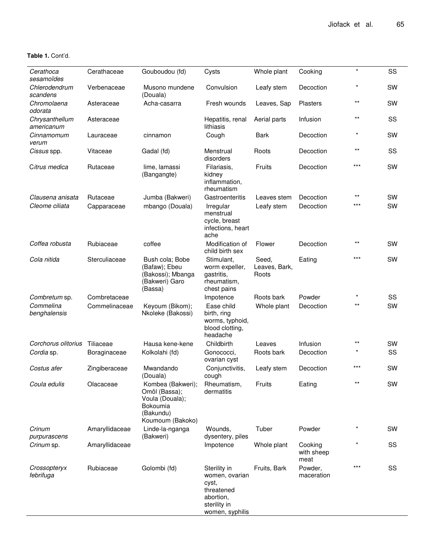| Cerathoca<br>sesamoïdes      | Cerathaceae    | Gouboudou (fd)                                                                                     | Cysts                                                                                                 | Whole plant                     | Cooking                       | $\star$         | SS        |
|------------------------------|----------------|----------------------------------------------------------------------------------------------------|-------------------------------------------------------------------------------------------------------|---------------------------------|-------------------------------|-----------------|-----------|
| Chlerodendrum<br>scandens    | Verbenaceae    | Musono mundene<br>(Douala)                                                                         | Convulsion                                                                                            | Leafy stem                      | Decoction                     |                 | SW        |
| Chromolaena<br>odorata       | Asteraceae     | Acha-casarra                                                                                       | Fresh wounds                                                                                          | Leaves, Sap                     | Plasters                      | $***$           | SW        |
| Chrysanthellum<br>americanum | Asteraceae     |                                                                                                    | Hepatitis, renal<br>lithiasis                                                                         | Aerial parts                    | Infusion                      | $^{\star\star}$ | SS        |
| Cinnamomum<br>verum          | Lauraceae      | cinnamon                                                                                           | Cough                                                                                                 | Bark                            | Decoction                     | $\ast$          | SW        |
| Cissus spp.                  | Vitaceae       | Gadal (fd)                                                                                         | Menstrual<br>disorders                                                                                | Roots                           | Decoction                     | $***$           | SS        |
| Citrus medica                | Rutaceae       | lime, lamassi<br>(Bangangte)                                                                       | Filariasis,<br>kidney<br>inflammation,<br>rheumatism                                                  | Fruits                          | Decoction                     | $***$           | SW        |
| Clausena anisata             | Rutaceae       | Jumba (Bakweri)                                                                                    | Gastroenteritis                                                                                       | Leaves stem                     | Decoction                     | $***$           | SW        |
| Cleome ciliata               | Capparaceae    | mbango (Douala)                                                                                    | Irregular<br>menstrual<br>cycle, breast<br>infections, heart<br>ache                                  | Leafy stem                      | Decoction                     | ***             | SW        |
| Coffea robusta               | Rubiaceae      | coffee                                                                                             | Modification of<br>child birth sex                                                                    | Flower                          | Decoction                     | $***$           | <b>SW</b> |
| Cola nitida                  | Sterculiaceae  | Bush cola; Bobe<br>(Bafaw); Ebeu<br>(Bakossi); Mbanga<br>(Bakweri) Garo<br>(Bassa)                 | Stimulant.<br>worm expeller,<br>gastritis,<br>rheumatism,<br>chest pains                              | Seed,<br>Leaves, Bark,<br>Roots | Eating                        | ***             | SW        |
| Combretum sp.                | Combretaceae   |                                                                                                    | Impotence                                                                                             | Roots bark                      | Powder                        | $\star$         | SS        |
| Commelina<br>benghalensis    | Commelinaceae  | Keyoum (Bikom);<br>Nkoleke (Bakossi)                                                               | Ease child<br>birth, ring<br>worms, typhoid,<br>blood clotting,<br>headache                           | Whole plant                     | Decoction                     | $***$           | SW        |
| Corchorus olitorius          | Tiliaceae      | Hausa kene-kene                                                                                    | Childbirth                                                                                            | Leaves                          | Infusion                      | $***$           | SW        |
| Cordia sp.                   | Boraginaceae   | Kolkolahi (fd)                                                                                     | Gonococci,<br>ovarian cyst                                                                            | Roots bark                      | Decoction                     |                 | SS        |
| Costus afer                  | Zingiberaceae  | Mwandando<br>(Douala)                                                                              | Conjunctivitis,<br>cough                                                                              | Leafy stem                      | Decoction                     | ***             | SW        |
| Coula edulis                 | Olacaceae      | Kombea (Bakweri);<br>Omôl (Bassa);<br>Voula (Douala);<br>Bokoumia<br>(Bakundu)<br>Koumoum (Bakoko) | Rheumatism,<br>dermatitis                                                                             | Fruits                          | Eating                        |                 | SW        |
| Crinum<br>purpurascens       | Amaryllidaceae | Linde-la-nganga<br>(Bakweri)                                                                       | Wounds,<br>dysentery, piles                                                                           | Tuber                           | Powder                        |                 | <b>SW</b> |
| Crinum sp.                   | Amaryllidaceae |                                                                                                    | Impotence                                                                                             | Whole plant                     | Cooking<br>with sheep<br>meat |                 | SS        |
| Crossopteryx<br>febrifuga    | Rubiaceae      | Golombi (fd)                                                                                       | Sterility in<br>women, ovarian<br>cyst,<br>threatened<br>abortion,<br>sterility in<br>women, syphilis | Fruits, Bark                    | Powder,<br>maceration         | ***             | SS        |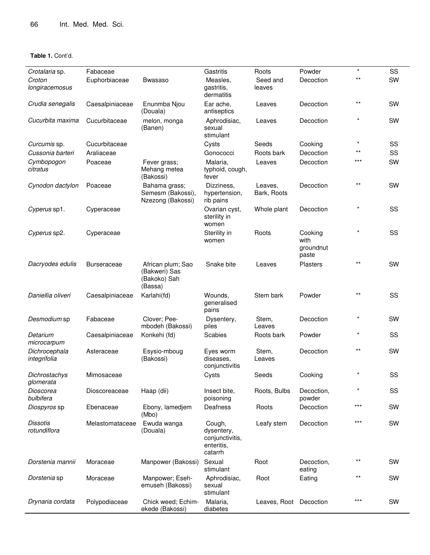| Crotalaria sp.                  | Fabaceae           |                                                               | Gastritis                                                        | Roots                  | Powder                                | $\star$ | SS |
|---------------------------------|--------------------|---------------------------------------------------------------|------------------------------------------------------------------|------------------------|---------------------------------------|---------|----|
| Croton<br>longiracemosus        | Euphorbiaceae      | Bwasaso                                                       | Measles,<br>gastritis,<br>dermatitis                             | Seed and<br>leaves     | Decoction                             | $***$   | SW |
| Crudia senegalis                | Caesalpiniaceae    | Enunmba Njou<br>(Douala)                                      | Ear ache,<br>antiseptics                                         | Leaves                 | Decoction                             | $***$   | SW |
| Cucurbita maxima                | Cucurbitaceae      | melon, monga<br>(Banen)                                       | Aphrodisiac,<br>sexual<br>stimulant                              | Leaves                 | Decoction                             |         | SW |
| Curcumis sp.                    | Cucurbitaceae      |                                                               | Cysts                                                            | Seeds                  | Cooking                               | $\star$ | SS |
| Cussonia barteri                | Araliaceae         |                                                               | Gonococci                                                        | Roots bark             | Decoction                             | $***$   | SS |
| Cymbopogon<br>citratus          | Poaceae            | Fever grass;<br>Mehang metea<br>(Bakossi)                     | Malaria,<br>typhoid, cough,<br>fever                             | Leaves                 | Decoction                             | ***     | SW |
| Cynodon dactylon                | Poaceae            | Bahama grass;<br>Semesm (Bakossi),<br>Nzezong (Bakossi)       | Dizziness,<br>hypertension,<br>rib pains                         | Leaves,<br>Bark, Roots | Decoction                             | $***$   | SW |
| Cyperus sp1.                    | Cyperaceae         |                                                               | Ovarian cyst,<br>sterility in<br>women                           | Whole plant            | Decoction                             |         | SS |
| Cyperus sp2.                    | Cyperaceae         |                                                               | Sterility in<br>women                                            | Roots                  | Cooking<br>with<br>groundnut<br>paste |         | SS |
| Dacryodes edulis                | <b>Burseraceae</b> | African plum; Sao<br>(Bakweri) Sas<br>(Bakoko) Sah<br>(Bassa) | Snake bite                                                       | Leaves                 | <b>Plasters</b>                       | $***$   | SW |
| Daniellia oliveri               | Caesalpiniaceae    | Karlahi(fd)                                                   | Wounds,<br>generalised<br>pains                                  | Stem bark              | Powder                                | $***$   | SS |
| Desmodium sp                    | Fabaceae           | Clover; Pee-<br>mbodeh (Bakossi)                              | Dysentery,<br>piles                                              | Stem,<br>Leaves        | Decoction                             |         | SW |
| Detarium<br>microcarpum         | Caesalpiniaceae    | Konkehi (fd)                                                  | Scabies                                                          | Roots bark             | Powder                                |         | SS |
| Dichrocephala<br>integrifolia   | Asteraceae         | Esysio-mboug<br>(Bakossi)                                     | Eyes worm<br>diseases,<br>conjunctivitis                         | Stem,<br>Leaves        | Decoction                             | $***$   | SW |
| Dichrostachys<br>glomerata      | Mimosaceae         |                                                               | Cysts                                                            | Seeds                  | Cooking                               |         | SS |
| Dioscorea<br>bulbifera          | Dioscoreaceae      | Haap (dii)                                                    | Insect bite,<br>poisoning                                        | Roots, Bulbs           | Decoction,<br>powder                  |         | SS |
| Diospyros sp                    | Ebenaceae          | Ebony, lamedjem<br>(Mbo)                                      | Deafness                                                         | Roots                  | Decoction                             | $***$   | SW |
| <b>Dissotis</b><br>rotundiflora | Melastomataceae    | Ewuda wanga<br>(Douala)                                       | Cough,<br>dysentery,<br>conjunctivitis,<br>enteritis,<br>catarrh | Leafy stem             | Decoction                             | $***$   | SW |
| Dorstenia mannii                | Moraceae           | Manpower (Bakossi)                                            | Sexual<br>stimulant                                              | Root                   | Decoction,<br>eating                  |         | SW |
| Dorstenia sp                    | Moraceae           | Manpower; Eseh-<br>emuseh (Bakossi)                           | Aphrodisiac,<br>sexual<br>stimulant                              | Root                   | Eating                                | $***$   | SW |
| Drynaria cordata                | Polypodiaceae      | Chick weed; Echim-<br>ekede (Bakossi)                         | Malaria,<br>diabetes                                             | Leaves, Root Decoction |                                       | $***$   | SW |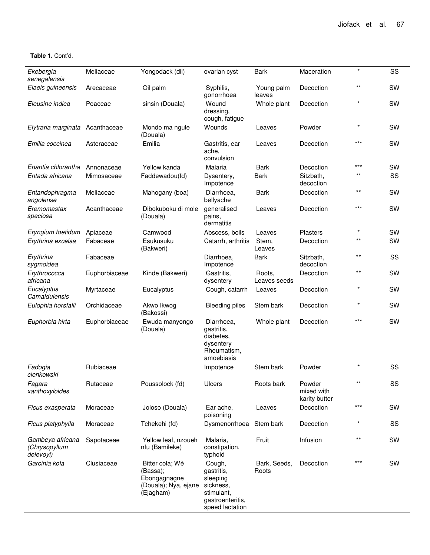| Ekebergia<br>senegalensis                      | Meliaceae     | Yongodack (dii)                                                                  | ovarian cyst                                                                                       | <b>Bark</b>            | Maceration                            | $\star$ | SS        |
|------------------------------------------------|---------------|----------------------------------------------------------------------------------|----------------------------------------------------------------------------------------------------|------------------------|---------------------------------------|---------|-----------|
| Elaeis guineensis                              | Arecaceae     | Oil palm                                                                         | Syphilis,<br>gonorrhoea                                                                            | Young palm<br>leaves   | Decoction                             | $***$   | SW        |
| Eleusine indica                                | Poaceae       | sinsin (Douala)                                                                  | Wound<br>dressing.<br>cough, fatigue                                                               | Whole plant            | Decoction                             |         | SW        |
| Elytraria marginata                            | Acanthaceae   | Mondo ma ngule<br>(Douala)                                                       | Wounds                                                                                             | Leaves                 | Powder                                | $\star$ | <b>SW</b> |
| Emilia coccinea                                | Asteraceae    | Emilia                                                                           | Gastritis, ear<br>ache,<br>convulsion                                                              | Leaves                 | Decoction                             | ***     | SW        |
| Enantia chlorantha                             | Annonaceae    | Yellow kanda                                                                     | Malaria                                                                                            | <b>Bark</b>            | Decoction                             | $***$   | SW        |
| Entada africana                                | Mimosaceae    | Faddewadou(fd)                                                                   | Dysentery,<br>Impotence                                                                            | <b>Bark</b>            | Sitzbath,<br>decoction                | $***$   | SS        |
| Entandophragma<br>angolense                    | Meliaceae     | Mahogany (boa)                                                                   | Diarrhoea,<br>bellyache                                                                            | <b>Bark</b>            | Decoction                             | $***$   | SW        |
| Eremomastax<br>speciosa                        | Acanthaceae   | Dibokuboku di mole<br>(Douala)                                                   | generalised<br>pains,<br>dermatitis                                                                | Leaves                 | Decoction                             | ***     | SW        |
| Eryngium foetidum                              | Apiaceae      | Camwood                                                                          | Abscess, boils                                                                                     | Leaves                 | Plasters                              | $\star$ | SW        |
| Erythrina excelsa                              | Fabaceae      | Esukusuku<br>(Bakweri)                                                           | Catarrh, arthritis                                                                                 | Stem,<br>Leaves        | Decoction                             | $***$   | SW        |
| Erythrina<br>sygmoidea                         | Fabaceae      |                                                                                  | Diarrhoea,<br>Impotence                                                                            | <b>Bark</b>            | Sitzbath,<br>decoction                | $***$   | SS        |
| Erythrococca<br>africana                       | Euphorbiaceae | Kinde (Bakweri)                                                                  | Gastritis,<br>dysentery                                                                            | Roots,<br>Leaves seeds | Decoction                             | $***$   | SW        |
| Eucalyptus<br>Camaldulensis                    | Myrtaceae     | Eucalyptus                                                                       | Cough, catarrh                                                                                     | Leaves                 | Decoction                             | $\star$ | SW        |
| Eulophia horsfalli                             | Orchidaceae   | Akwo Ikwog<br>(Bakossi)                                                          | <b>Bleeding piles</b>                                                                              | Stem bark              | Decoction                             |         | SW        |
| Euphorbia hirta                                | Euphorbiaceae | Ewuda manyongo<br>(Douala)                                                       | Diarrhoea,<br>gastritis,<br>diabetes.<br>dysentery<br>Rheumatism,<br>amoebiasis                    | Whole plant            | Decoction                             | ***     | SW        |
| Fadogia<br>cienkowski                          | Rubiaceae     |                                                                                  | Impotence                                                                                          | Stem bark              | Powder                                |         | SS        |
| Fagara<br>xanthoxyloides                       | Rutaceae      | Poussolock (fd)                                                                  | Ulcers                                                                                             | Roots bark             | Powder<br>mixed with<br>karity butter | $***$   | SS        |
| Ficus exasperata                               | Moraceae      | Joloso (Douala)                                                                  | Ear ache,<br>poisoning                                                                             | Leaves                 | Decoction                             | ***     | SW        |
| Ficus platyphylla                              | Moraceae      | Tchekehi (fd)                                                                    | Dysmenorrhoea                                                                                      | Stem bark              | Decoction                             |         | SS        |
| Gambeya africana<br>(Chrysopyllum<br>delevoyi) | Sapotaceae    | Yellow leaf, nzoueh<br>nfu (Bamileke)                                            | Malaria,<br>constipation,<br>typhoid                                                               | Fruit                  | Infusion                              | $***$   | SW        |
| Garcinia kola                                  | Clusiaceae    | Bitter cola; Wè<br>(Bassa);<br>Ebongagnagne<br>(Douala); Nya, ejane<br>(Ejagham) | Cough,<br>gastritis,<br>sleeping<br>sickness,<br>stimulant,<br>gastroenteritis,<br>speed lactation | Bark, Seeds,<br>Roots  | Decoction                             | ***     | <b>SW</b> |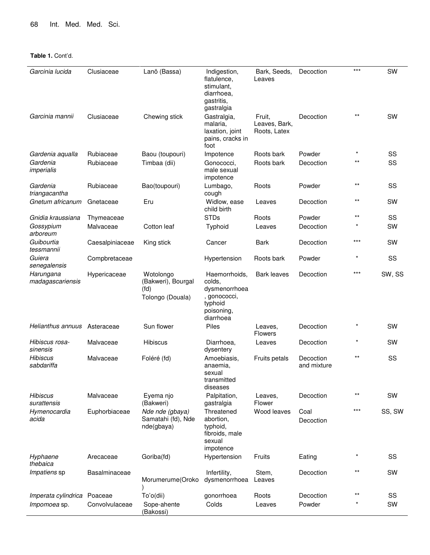| Garcinia lucida                | Clusiaceae      | Lanõ (Bassa)                                                | Indigestion,<br>flatulence,<br>stimulant,<br>diarrhoea,<br>gastritis,<br>gastralgia            | Bark, Seeds,<br>Leaves                  | Decoction                | $***$           | SW        |
|--------------------------------|-----------------|-------------------------------------------------------------|------------------------------------------------------------------------------------------------|-----------------------------------------|--------------------------|-----------------|-----------|
| Garcinia mannii                | Clusiaceae      | Chewing stick                                               | Gastralgia,<br>malaria,<br>laxation, joint<br>pains, cracks in<br>foot                         | Fruit,<br>Leaves, Bark,<br>Roots, Latex | Decoction                | $^{\star\star}$ | SW        |
| Gardenia aqualla               | Rubiaceae       | Baou (toupouri)                                             | Impotence                                                                                      | Roots bark                              | Powder                   | $\star$         | SS        |
| Gardenia<br>imperialis         | Rubiaceae       | Timbaa (dii)                                                | Gonococci,<br>male sexual<br>impotence                                                         | Roots bark                              | Decoction                | $^{\star\star}$ | SS        |
| Gardenia<br>triangacantha      | Rubiaceae       | Bao(toupouri)                                               | Lumbago,<br>cough                                                                              | Roots                                   | Powder                   | $***$           | SS        |
| Gnetum africanum               | Gnetaceae       | Eru                                                         | Widlow, ease<br>child birth                                                                    | Leaves                                  | Decoction                | $***$           | SW        |
| Gnidia kraussiana              | Thymeaceae      |                                                             | <b>STDs</b>                                                                                    | Roots                                   | Powder                   | **              | SS        |
| Gossypium<br>arboreum          | Malvaceae       | Cotton leaf                                                 | Typhoid                                                                                        | Leaves                                  | Decoction                |                 | SW        |
| Guibourtia<br>tessmannii       | Caesalpiniaceae | King stick                                                  | Cancer                                                                                         | <b>Bark</b>                             | Decoction                | ***             | SW        |
| Guiera<br>senegalensis         | Compbretaceae   |                                                             | Hypertension                                                                                   | Roots bark                              | Powder                   | $\star$         | SS        |
| Harungana<br>madagascariensis  | Hypericaceae    | Wotolongo<br>(Bakweri), Bourgal<br>(fd)<br>Tolongo (Douala) | Haemorrhoids,<br>colds,<br>dysmenorrhoea<br>, gonococci,<br>typhoid<br>poisoning,<br>diarrhoea | <b>Bark leaves</b>                      | Decoction                | ***             | SW, SS    |
| Helianthus annuus              | Asteraceae      | Sun flower                                                  | <b>Piles</b>                                                                                   | Leaves,<br><b>Flowers</b>               | Decoction                |                 | SW        |
| Hibiscus rosa-<br>sinensis     | Malvaceae       | <b>Hibiscus</b>                                             | Diarrhoea,<br>dysentery                                                                        | Leaves                                  | Decoction                | $\star$         | SW        |
| <b>Hibiscus</b><br>sabdariffa  | Malvaceae       | Foléré (fd)                                                 | Amoebiasis,<br>anaemia,<br>sexual<br>transmitted<br>diseases                                   | Fruits petals                           | Decoction<br>and mixture | $***$           | SS        |
| <b>Hibiscus</b><br>surattensis | Malvaceae       | Eyema njo<br>(Bakweri)                                      | Palpitation,<br>gastralgia                                                                     | Leaves,<br>Flower                       | Decoction                | $***$           | <b>SW</b> |
| Hymenocardia<br>acida          | Euphorbiaceae   | Nde nde (gbaya)<br>Samatahi (fd), Nde<br>nde(gbaya)         | Threatened<br>abortion,<br>typhoid,<br>fibroids, male<br>sexual<br>impotence                   | Wood leaves                             | Coal<br>Decoction        | ***             | SS, SW    |
| Hyphaene<br>thebaica           | Arecaceae       | Goriba(fd)                                                  | Hypertension                                                                                   | Fruits                                  | Eating                   |                 | SS        |
| Impatiens sp                   | Basalminaceae   | Morumerume(Oroko                                            | Infertility,<br>dysmenorrhoea                                                                  | Stem,<br>Leaves                         | Decoction                | $***$           | SW        |
| Imperata cylindrica            | Poaceae         | To'o(dii)                                                   | gonorrhoea                                                                                     | Roots                                   | Decoction                | $***$           | SS        |
| Impomoea sp.                   | Convolvulaceae  | Sope-ahente<br>(Bakossi)                                    | Colds                                                                                          | Leaves                                  | Powder                   |                 | SW        |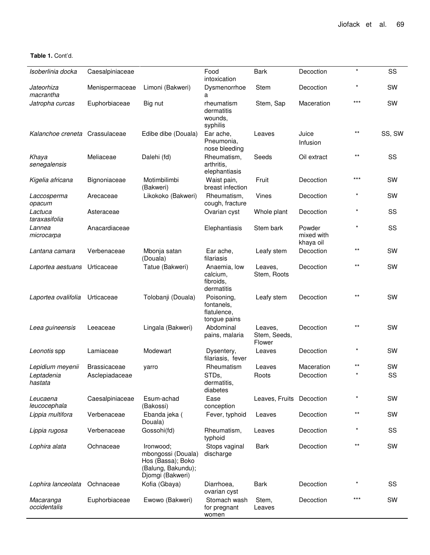**Table 1.** Cont'd.

| Isoberlinia docka              | Caesalpiniaceae     |                                                                                                | Food<br>intoxication                                    | <b>Bark</b>                       | Decoction                         | $\star$ | SS        |
|--------------------------------|---------------------|------------------------------------------------------------------------------------------------|---------------------------------------------------------|-----------------------------------|-----------------------------------|---------|-----------|
| Jateorhiza<br>macrantha        | Menispermaceae      | Limoni (Bakweri)                                                                               | Dysmenorrhoe<br>а                                       | Stem                              | Decoction                         | $\star$ | SW        |
| Jatropha curcas                | Euphorbiaceae       | Big nut                                                                                        | rheumatism<br>dermatitis<br>wounds,<br>syphilis         | Stem, Sap                         | Maceration                        | $***$   | SW        |
| Kalanchoe creneta Crassulaceae |                     | Edibe dibe (Douala)                                                                            | Ear ache,<br>Pneumonia,<br>nose bleeding                | Leaves                            | Juice<br>Infusion                 | $***$   | SS, SW    |
| Khaya<br>senegalensis          | Meliaceae           | Dalehi (fd)                                                                                    | Rheumatism,<br>arthritis.<br>elephantiasis              | Seeds                             | Oil extract                       | $***$   | SS        |
| Kigelia africana               | Bignoniaceae        | Motimbilimbi<br>(Bakweri)                                                                      | Waist pain,<br>breast infection                         | Fruit                             | Decoction                         | $***$   | SW        |
| Laccosperma<br>opacum          | Arecaceae           | Likokoko (Bakweri)                                                                             | Rheumatism,<br>cough, fracture                          | <b>Vines</b>                      | Decoction                         |         | <b>SW</b> |
| Lactuca<br>taraxasifolia       | Asteraceae          |                                                                                                | Ovarian cyst                                            | Whole plant                       | Decoction                         | $\star$ | SS        |
| Lannea<br>microcarpa           | Anacardiaceae       |                                                                                                | Elephantiasis                                           | Stem bark                         | Powder<br>mixed with<br>khaya oil | $\star$ | SS        |
| Lantana camara                 | Verbenaceae         | Mbonja satan<br>(Douala)                                                                       | Ear ache,<br>filariasis                                 | Leafy stem                        | Decoction                         | $***$   | SW        |
| Laportea aestuans              | Urticaceae          | Tatue (Bakweri)                                                                                | Anaemia, low<br>calcium,<br>fibroids,<br>dermatitis     | Leaves,<br>Stem, Roots            | Decoction                         | $***$   | SW        |
| Laportea ovalifolia            | Urticaceae          | Tolobanji (Douala)                                                                             | Poisoning,<br>fontanels.<br>flatulence,<br>tongue pains | Leafy stem                        | Decoction                         | $***$   | SW        |
| Leea guineensis                | Leeaceae            | Lingala (Bakweri)                                                                              | Abdominal<br>pains, malaria                             | Leaves,<br>Stem, Seeds,<br>Flower | Decoction                         | $***$   | SW        |
| Leonotis spp                   | Lamiaceae           | Modewart                                                                                       | Dysentery,<br>filariasis, fever                         | Leaves                            | Decoction                         | $\star$ | SW        |
| Lepidium meyenii               | <b>Brassicaceae</b> | yarro                                                                                          | Rheumatism                                              | Leaves                            | Maceration                        | $***$   | SW        |
| Leptadenia<br>hastata          | Asclepiadaceae      |                                                                                                | STDs,<br>dermatitis,<br>diabetes                        | Roots                             | Decoction                         | $\star$ | SS        |
| Leucaena<br>leucocephala       | Caesalpiniaceae     | Esum-achad<br>(Bakossi)                                                                        | Ease<br>conception                                      | Leaves, Fruits Decoction          |                                   |         | SW        |
| Lippia multifora               | Verbenaceae         | Ebanda jeka (<br>Douala)                                                                       | Fever, typhoid                                          | Leaves                            | Decoction                         | $***$   | SW        |
| Lippia rugosa                  | Verbenaceae         | Gossohi(fd)                                                                                    | Rheumatism,<br>typhoid                                  | Leaves                            | Decoction                         |         | SS        |
| Lophira alata                  | Ochnaceae           | Ironwood;<br>mbongossi (Douala)<br>Hos (Bassa); Boko<br>(Balung, Bakundu);<br>Djomgi (Bakweri) | Stops vaginal<br>discharge                              | Bark                              | Decoction                         | $***$   | SW        |
| Lophira lanceolata             | Ochnaceae           | Kofia (Gbaya)                                                                                  | Diarrhoea,<br>ovarian cyst                              | Bark                              | Decoction                         |         | SS        |
| Macaranga<br>occidentalis      | Euphorbiaceae       | Ewowo (Bakweri)                                                                                | Stomach wash<br>for pregnant<br>women                   | Stem,<br>Leaves                   | Decoction                         | $***$   | SW        |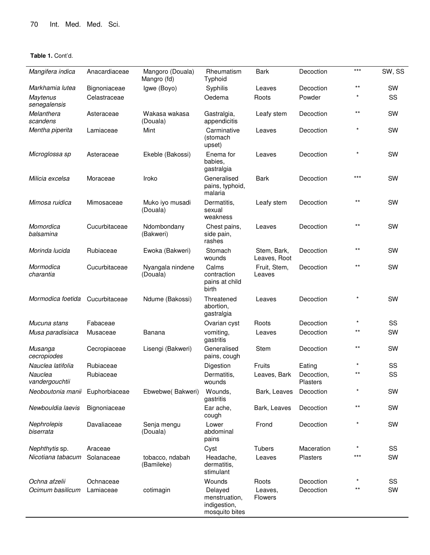| Mangifera indica          | Anacardiaceae | Mangoro (Douala)<br>Mangro (fd) | Rheumatism<br>Typhoid                                      | <b>Bark</b>                 | Decoction              | $***$ | SW, SS    |
|---------------------------|---------------|---------------------------------|------------------------------------------------------------|-----------------------------|------------------------|-------|-----------|
| Markhamia lutea           | Bignoniaceae  | Igwe (Boyo)                     | Syphilis                                                   | Leaves                      | Decoction              | $***$ | <b>SW</b> |
| Maytenus<br>senegalensis  | Celastraceae  |                                 | Oedema                                                     | Roots                       | Powder                 |       | SS        |
| Melanthera<br>scandens    | Asteraceae    | Wakasa wakasa<br>(Douala)       | Gastralgia,<br>appendicitis                                | Leafy stem                  | Decoction              | $***$ | SW        |
| Mentha piperita           | Lamiaceae     | Mint                            | Carminative<br>(stomach<br>upset)                          | Leaves                      | Decoction              |       | SW        |
| Microglossa sp            | Asteraceae    | Ekeble (Bakossi)                | Enema for<br>babies.<br>gastralgia                         | Leaves                      | Decoction              |       | SW        |
| Milicia excelsa           | Moraceae      | Iroko                           | Generalised<br>pains, typhoid,<br>malaria                  | <b>Bark</b>                 | Decoction              | $***$ | <b>SW</b> |
| Mimosa ruidica            | Mimosaceae    | Muko iyo musadi<br>(Douala)     | Dermatitis.<br>sexual<br>weakness                          | Leafy stem                  | Decoction              | $***$ | SW        |
| Momordica<br>balsamina    | Cucurbitaceae | Ndombondany<br>(Bakweri)        | Chest pains,<br>side pain,<br>rashes                       | Leaves                      | Decoction              | $***$ | SW        |
| Morinda lucida            | Rubiaceae     | Ewoka (Bakweri)                 | Stomach<br>wounds                                          | Stem, Bark,<br>Leaves, Root | Decoction              | $***$ | SW        |
| Mormodica<br>charantia    | Cucurbitaceae | Nyangala nindene<br>(Douala)    | Calms<br>contraction<br>pains at child<br>birth            | Fruit, Stem,<br>Leaves      | Decoction              | $***$ | SW        |
| Mormodica foetida         | Cucurbitaceae | Ndume (Bakossi)                 | Threatened<br>abortion,<br>gastralgia                      | Leaves                      | Decoction              |       | SW        |
| Mucuna stans              | Fabaceae      |                                 | Ovarian cyst                                               | Roots                       | Decoction              |       | SS        |
| Musa paradisiaca          | Musaceae      | Banana                          | vomiting,<br>gastritis                                     | Leaves                      | Decoction              | $***$ | SW        |
| Musanga<br>cecropiodes    | Cecropiaceae  | Lisengi (Bakweri)               | Generalised<br>pains, cough                                | Stem                        | Decoction              | $***$ | SW        |
| Nauclea latifolia         | Rubiaceae     |                                 | Digestion                                                  | Fruits                      | Eating                 |       | SS        |
| Nauclea<br>vandergouchtii | Rubiaceae     |                                 | Dermatitis,<br>wounds                                      | Leaves, Bark                | Decoction,<br>Plasters | $***$ | SS        |
| Neoboutonia manii         | Euphorbiaceae | Ebwebwe(Bakweri)                | Wounds,<br>gastritis                                       | Bark, Leaves                | Decoction              |       | SW        |
| Newbouldia laevis         | Bignoniaceae  |                                 | Ear ache,<br>cough                                         | Bark, Leaves                | Decoction              | $***$ | SW        |
| Nephrolepis<br>biserrata  | Davaliaceae   | Senja mengu<br>(Douala)         | Lower<br>abdominal<br>pains                                | Frond                       | Decoction              |       | SW        |
| Nephthytis sp.            | Araceae       |                                 | Cyst                                                       | <b>Tubers</b>               | Maceration             |       | SS        |
| Nicotiana tabacum         | Solanaceae    | tobacco, ndabah<br>(Bamileke)   | Headache,<br>dermatitis,<br>stimulant                      | Leaves                      | Plasters               | ***   | SW        |
| Ochna afzelii             | Ochnaceae     |                                 | Wounds                                                     | Roots                       | Decoction              |       | SS        |
| Ocimum basilicum          | Lamiaceae     | cotimagin                       | Delayed<br>menstruation,<br>indigestion,<br>mosquito bites | Leaves,<br><b>Flowers</b>   | Decoction              | $***$ | SW        |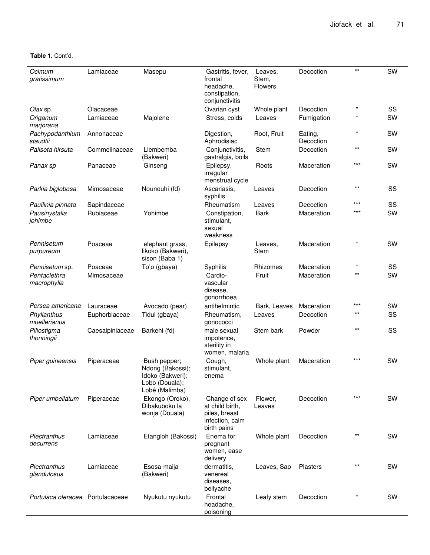**Table 1.** Cont'd.

| Ocimum<br>gratissimum            | Lamiaceae       | Masepu                                                                                   | Gastritis, fever,<br>frontal<br>headache,<br>constipation,<br>conjunctivitis        | Leaves,<br>Stem,<br><b>Flowers</b> | Decoction            | $***$   | SW        |
|----------------------------------|-----------------|------------------------------------------------------------------------------------------|-------------------------------------------------------------------------------------|------------------------------------|----------------------|---------|-----------|
| Olax sp.                         | Olacaceae       |                                                                                          | Ovarian cyst                                                                        | Whole plant                        | Decoction            | $\star$ | SS        |
| Origanum<br>marjorana            | Lamiaceae       | Majolene                                                                                 | Stress, colds                                                                       | Leaves                             | Fumigation           |         | SW        |
| Pachypodanthium<br>staudtii      | Annonaceae      |                                                                                          | Digestion,<br>Aphrodisiac                                                           | Root, Fruit                        | Eating,<br>Decoction | $\star$ | <b>SW</b> |
| Palisota hirsuta                 | Commelinaceae   | Liembemba<br>(Bakweri)                                                                   | Conjunctivitis,<br>gastralgia, boils                                                | Stem                               | Decoction            | $***$   | SW        |
| Panax sp                         | Panaceae        | Ginseng                                                                                  | Epilepsy,<br>irregular<br>menstrual cycle                                           | Roots                              | Maceration           | $***$   | SW        |
| Parkia biglobosa                 | Mimosaceae      | Nounouhi (fd)                                                                            | Ascariasis,<br>syphilis                                                             | Leaves                             | Decoction            | $***$   | SS        |
| Paullinia pinnata                | Sapindaceae     |                                                                                          | Rheumatism                                                                          | Leaves                             | Decoction            | $***$   | SS        |
| Pausinystalia<br>johimbe         | Rubiaceae       | Yohimbe                                                                                  | Constipation,<br>stimulant,<br>sexual<br>weakness                                   | <b>Bark</b>                        | Maceration           | $***$   | SW        |
| Pennisetum<br>purpureum          | Poaceae         | elephant grass,<br>likoko (Bakweri),<br>sison (Baba 1)                                   | Epilepsy                                                                            | Leaves,<br><b>Stem</b>             | Maceration           |         | SW        |
| Pennisetum sp.                   | Poaceae         | To'o (gbaya)                                                                             | Syphilis                                                                            | Rhizomes                           | Maceration           |         | SS        |
| Pentaclethra<br>macrophylla      | Mimosaceae      |                                                                                          | Cardio-<br>vascular<br>disease,<br>gonorrhoea                                       | Fruit                              | Maceration           | $***$   | SW        |
| Persea americana                 | Lauraceae       | Avocado (pear)                                                                           | antihelmintic                                                                       | Bark, Leaves                       | Maceration           | ***     | SW        |
| Phyllanthus<br>muellerianus      | Euphorbiaceae   | Tidui (gbaya)                                                                            | Rheumatism,<br>gonococci                                                            | Leaves                             | Decoction            | $***$   | SS        |
| Piliostigma<br>thonningii        | Caesalpiniaceae | Barkehi (fd)                                                                             | male sexual<br>impotence,<br>sterility in<br>women, malaria                         | Stem bark                          | Powder               | $***$   | SS        |
| Piper guineensis                 | Piperaceae      | Bush pepper;<br>Ndong (Bakossi);<br>Idoko (Bakweri);<br>Lobo (Douala);<br>Lobé (Malimba) | Cough,<br>stimulant,<br>enema                                                       | Whole plant                        | Maceration           | $***$   | SW        |
| Piper umbellatum                 | Piperaceae      | Ekongo (Oroko),<br>Dibakuboku la<br>wonja (Douala)                                       | Change of sex<br>at child birth,<br>piles, breast<br>infection, calm<br>birth pains | Flower,<br>Leaves                  | Decoction            | ***     | SW        |
| Plectranthus<br>decurrens        | Lamiaceae       | Etangloh (Bakossi)                                                                       | Enema for<br>pregnant<br>women, ease<br>delivery                                    | Whole plant                        | Decoction            | $***$   | SW        |
| Plectranthus<br>glandulosus      | Lamiaceae       | Esosa-maija<br>(Bakweri)                                                                 | dermatitis,<br>venereal<br>diseases,<br>bellyache                                   | Leaves, Sap                        | Plasters             | $***$   | <b>SW</b> |
| Portulaca oleracea Portulacaceae |                 | Nyukutu nyukutu                                                                          | Frontal<br>headache,<br>poisoning                                                   | Leafy stem                         | Decoction            |         | <b>SW</b> |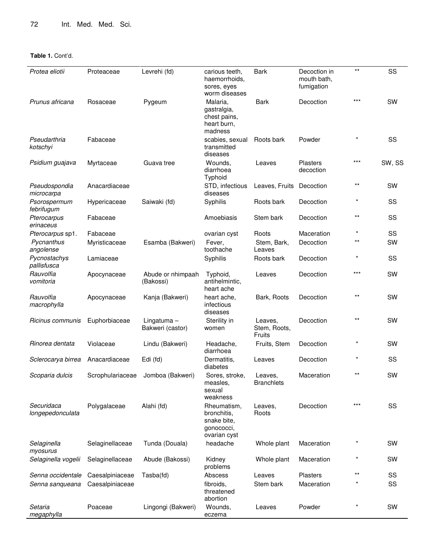| Protea eliotii                 | Proteaceae       | Levrehi (fd)                      | carious teeth,<br>haemorrhoids,<br>sores, eyes<br>worm diseases         | <b>Bark</b>                       | Decoction in<br>mouth bath,<br>fumigation | $***$    | SS        |
|--------------------------------|------------------|-----------------------------------|-------------------------------------------------------------------------|-----------------------------------|-------------------------------------------|----------|-----------|
| Prunus africana                | Rosaceae         | Pygeum                            | Malaria,<br>gastralgia,<br>chest pains,<br>heart burn,<br>madness       | <b>Bark</b>                       | Decoction                                 | $***$    | SW        |
| Pseudarthria<br>kotschyi       | Fabaceae         |                                   | scabies, sexual<br>transmitted<br>diseases                              | Roots bark                        | Powder                                    | $\star$  | SS        |
| Psidium guajava                | Myrtaceae        | Guava tree                        | Wounds,<br>diarrhoea<br>Typhoid                                         | Leaves                            | <b>Plasters</b><br>decoction              | $***$    | SW, SS    |
| Pseudospondia<br>microcarpa    | Anacardiaceae    |                                   | STD, infectious<br>diseases                                             | Leaves, Fruits                    | Decoction                                 | $***$    | SW        |
| Psorospermum<br>febrifugum     | Hypericaceae     | Saiwaki (fd)                      | Syphilis                                                                | Roots bark                        | Decoction                                 | $^\star$ | SS        |
| Pterocarpus<br>erinaceus       | Fabaceae         |                                   | Amoebiasis                                                              | Stem bark                         | Decoction                                 | $***$    | SS        |
| Pterocarpus sp1.               | Fabaceae         |                                   | ovarian cyst                                                            | Roots                             | Maceration                                |          | SS        |
| Pycnanthus<br>angolense        | Myristicaceae    | Esamba (Bakweri)                  | Fever,<br>toothache                                                     | Stem, Bark,<br>Leaves             | Decoction                                 | $***$    | SW        |
| Pycnostachys<br>pallisfusca    | Lamiaceae        |                                   | Syphilis                                                                | Roots bark                        | Decoction                                 |          | SS        |
| Rauvolfia<br>vomitoria         | Apocynaceae      | Abude or nhimpaah<br>(Bakossi)    | Typhoid,<br>antihelmintic,<br>heart ache                                | Leaves                            | Decoction                                 | $***$    | SW        |
| Rauvolfia<br>macrophylla       | Apocynaceae      | Kanja (Bakweri)                   | heart ache,<br>infectious<br>diseases                                   | Bark, Roots                       | Decoction                                 | $***$    | SW        |
| Ricinus communis               | Euphorbiaceae    | Lingatuma $-$<br>Bakweri (castor) | Sterility in<br>women                                                   | Leaves,<br>Stem, Roots,<br>Fruits | Decoction                                 | $***$    | SW        |
| Rinorea dentata                | Violaceae        | Lindu (Bakweri)                   | Headache,<br>diarrhoea                                                  | Fruits, Stem                      | Decoction                                 |          | SW        |
| Sclerocarya birrea             | Anacardiaceae    | Edi (fd)                          | Dermatitis,<br>diabetes                                                 | Leaves                            | Decoction                                 |          | SS        |
| Scoparia dulcis                | Scrophulariaceae | Jomboa (Bakweri)                  | Sores, stroke,<br>measles,<br>sexual<br>weakness                        | Leaves,<br><b>Branchlets</b>      | Maceration                                | $***$    | <b>SW</b> |
| Securidaca<br>longepedonculata | Polygalaceae     | Alahi (fd)                        | Rheumatism,<br>bronchitis,<br>snake bite,<br>gonococci,<br>ovarian cyst | Leaves,<br>Roots                  | Decoction                                 | $***$    | SS        |
| Selaginella<br>myosurus        | Selaginellaceae  | Tunda (Douala)                    | headache                                                                | Whole plant                       | Maceration                                |          | <b>SW</b> |
| Selaginella vogelii            | Selaginellaceae  | Abude (Bakossi)                   | Kidney<br>problems                                                      | Whole plant                       | Maceration                                |          | <b>SW</b> |
| Senna occidentale              | Caesalpiniaceae  | Tasba(fd)                         | Abscess                                                                 | Leaves                            | <b>Plasters</b>                           | $***$    | SS        |
| Senna sanqueana                | Caesalpiniaceae  |                                   | fibroids,<br>threatened<br>abortion                                     | Stem bark                         | Maceration                                |          | SS        |
| Setaria<br>megaphylla          | Poaceae          | Lingongi (Bakweri)                | Wounds,<br>eczema                                                       | Leaves                            | Powder                                    |          | SW        |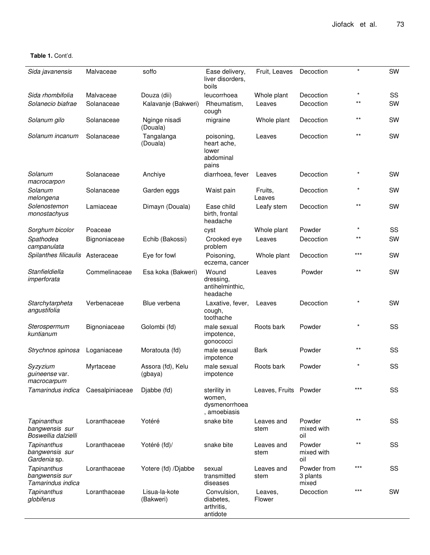**Table 1.** Cont'd.

| Sida javanensis                                      | Malvaceae       | soffo                        | Ease delivery,<br>liver disorders,<br>boils              | Fruit, Leaves         | Decoction                        | $\star$      | SW        |
|------------------------------------------------------|-----------------|------------------------------|----------------------------------------------------------|-----------------------|----------------------------------|--------------|-----------|
| Sida rhombifolia                                     | Malvaceae       | Douza (dii)                  | leucorrhoea                                              | Whole plant           | Decoction                        | $\star$      | SS        |
| Solanecio biafrae                                    | Solanaceae      | Kalavanje (Bakweri)          | Rheumatism,<br>cough                                     | Leaves                | Decoction                        | $\star\star$ | <b>SW</b> |
| Solanum gilo                                         | Solanaceae      | Nginge nisadi<br>(Douala)    | migraine                                                 | Whole plant           | Decoction                        | $***$        | SW        |
| Solanum incanum                                      | Solanaceae      | Tangalanga<br>(Douala)       | poisoning,<br>heart ache,<br>lower<br>abdominal<br>pains | Leaves                | Decoction                        | $***$        | SW        |
| Solanum<br>macrocarpon                               | Solanaceae      | Anchiye                      | diarrhoea, fever                                         | Leaves                | Decoction                        | $\star$      | SW        |
| Solanum<br>melongena                                 | Solanaceae      | Garden eggs                  | Waist pain                                               | Fruits,<br>Leaves     | Decoction                        | $\star$      | <b>SW</b> |
| Solenostemon<br>monostachyus                         | Lamiaceae       | Dimayn (Douala)              | Ease child<br>birth, frontal<br>headache                 | Leafy stem            | Decoction                        | $***$        | <b>SW</b> |
| Sorghum bicolor                                      | Poaceae         |                              | cyst                                                     | Whole plant           | Powder                           | $\star$      | SS        |
| Spathodea<br>campanulata                             | Bignoniaceae    | Echib (Bakossi)              | Crooked eye<br>problem                                   | Leaves                | Decoction                        | $***$        | SW        |
| Spilanthes filicaulis Asteraceae                     |                 | Eye for fowl                 | Poisoning,<br>eczema, cancer                             | Whole plant           | Decoction                        | $***$        | <b>SW</b> |
| Stanfieldiella<br>imperforata                        | Commelinaceae   | Esa koka (Bakweri)           | Wound<br>dressing,<br>antihelminthic,<br>headache        | Leaves                | Powder                           | $***$        | <b>SW</b> |
| Starchytarpheta<br>angustifolia                      | Verbenaceae     | Blue verbena                 | Laxative, fever,<br>cough,<br>toothache                  | Leaves                | Decoction                        | $\star$      | SW        |
| Sterospermum<br>kuntianum                            | Bignoniaceae    | Golombi (fd)                 | male sexual<br>impotence,<br>qonococci                   | Roots bark            | Powder                           | $\star$      | SS        |
| Strychnos spinosa                                    | Loganiaceae     | Moratouta (fd)               | male sexual<br>impotence                                 | <b>Bark</b>           | Powder                           | **           | SS        |
| Syzyzium<br><i>guineense</i> var.<br>macrocarpum     | Myrtaceae       | Assora (fd), Kelu<br>(gbaya) | male sexual<br>impotence                                 | Roots bark            | Powder                           | $\star$      | SS        |
| Tamarindus indica                                    | Caesalpiniaceae | Djabbe (fd)                  | sterility in<br>women,<br>dysmenorrhoea<br>, amoebiasis  | Leaves, Fruits Powder |                                  | $***$        | SS        |
| Tapinanthus<br>bangwensis sur<br>Boswellia dalzielli | Loranthaceae    | Yotéré                       | snake bite                                               | Leaves and<br>stem    | Powder<br>mixed with<br>oil      | $***$        | SS        |
| Tapinanthus<br>bangwensis sur<br>Gardenia sp.        | Loranthaceae    | Yotéré (fd)/                 | snake bite                                               | Leaves and<br>stem    | Powder<br>mixed with<br>oil      | $***$        | SS        |
| Tapinanthus<br>bangwensis sur<br>Tamarindus indica   | Loranthaceae    | Yotere (fd) /Djabbe          | sexual<br>transmitted<br>diseases                        | Leaves and<br>stem    | Powder from<br>3 plants<br>mixed | $***$        | SS        |
| <b>Tapinanthus</b><br>globiferus                     | Loranthaceae    | Lisua-la-kote<br>(Bakweri)   | Convulsion,<br>diabetes,<br>arthritis,<br>antidote       | Leaves,<br>Flower     | Decoction                        | $***$        | <b>SW</b> |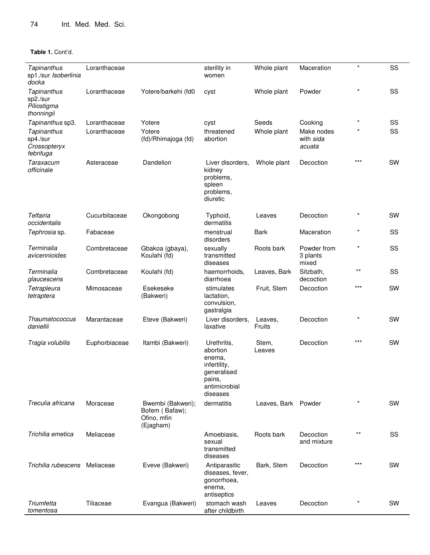| <b>Tapinanthus</b><br>sp1./sur Isoberlinia<br>docka                             | Loranthaceae                 |                                                                 | sterility in<br>women                                                                                   | Whole plant          | Maceration                                   | $\star$            | SS        |
|---------------------------------------------------------------------------------|------------------------------|-----------------------------------------------------------------|---------------------------------------------------------------------------------------------------------|----------------------|----------------------------------------------|--------------------|-----------|
| Tapinanthus<br>sp2./sur<br>Piliostigma<br>thonningii                            | Loranthaceae                 | Yotere/barkehi (fd0                                             | cyst                                                                                                    | Whole plant          | Powder                                       | $\star$            | SS        |
| Tapinanthus sp3.<br><b>Tapinanthus</b><br>sp4./sur<br>Crossopteryx<br>febrifuga | Loranthaceae<br>Loranthaceae | Yotere<br>Yotere<br>(fd)/Rhimajoga (fd)                         | cyst<br>threatened<br>abortion                                                                          | Seeds<br>Whole plant | Cooking<br>Make nodes<br>with sida<br>acuata | $\star$<br>$\star$ | SS<br>SS  |
| Taraxacum<br>officinale                                                         | Asteraceae                   | Dandelion                                                       | Liver disorders,<br>kidney<br>problems,<br>spleen<br>problems,<br>diuretic                              | Whole plant          | Decoction                                    | $***$              | SW        |
| Telfairia<br>occidentalis                                                       | Cucurbitaceae                | Okongobong                                                      | Typhoid,<br>dermatitis                                                                                  | Leaves               | Decoction                                    | $\star$            | <b>SW</b> |
| Tephrosia sp.                                                                   | Fabaceae                     |                                                                 | menstrual<br>disorders                                                                                  | <b>Bark</b>          | Maceration                                   | $\star$            | SS        |
| Terminalia<br>avicennioides                                                     | Combretaceae                 | Gbakoa (gbaya),<br>Koulahi (fd)                                 | sexually<br>transmitted<br>diseases                                                                     | Roots bark           | Powder from<br>3 plants<br>mixed             | $\star$            | SS        |
| Terminalia<br>glaucescens                                                       | Combretaceae                 | Koulahi (fd)                                                    | haemorrhoids,<br>diarrhoea                                                                              | Leaves, Bark         | Sitzbath,<br>decoction                       | $***$              | SS        |
| Tetrapleura<br>tetraptera                                                       | Mimosaceae                   | Esekeseke<br>(Bakweri)                                          | stimulates<br>lactation,<br>convulsion,<br>gastralgia                                                   | Fruit, Stem          | Decoction                                    | $***$              | SW        |
| Thaumatococcus<br>daniellii                                                     | Marantaceae                  | Eteve (Bakweri)                                                 | Liver disorders,<br>laxative                                                                            | Leaves,<br>Fruits    | Decoction                                    |                    | SW        |
| Tragia volubilis                                                                | Euphorbiaceae                | Itambi (Bakweri)                                                | Urethritis,<br>abortion<br>enema,<br>infertility,<br>generalised<br>pains,<br>antimicrobial<br>diseases | Stem,<br>Leaves      | Decoction                                    | $***$              | <b>SW</b> |
| Treculia africana                                                               | Moraceae                     | Bwembi (Bakweri);<br>Bofem (Bafaw);<br>Ofino, mfin<br>(Ejagham) | dermatitis                                                                                              | Leaves, Bark Powder  |                                              |                    | SW        |
| Trichilia emetica                                                               | Meliaceae                    |                                                                 | Amoebiasis,<br>sexual<br>transmitted<br>diseases                                                        | Roots bark           | Decoction<br>and mixture                     | $***$              | SS        |
| Trichilia rubescens Meliaceae                                                   |                              | Eveve (Bakweri)                                                 | Antiparasitic<br>diseases, fever,<br>gonorrhoea,<br>enema,<br>antiseptics                               | Bark, Stem           | Decoction                                    | $***$              | <b>SW</b> |
| Triumfetta<br>tomentosa                                                         | Tiliaceae                    | Evangua (Bakweri)                                               | stomach wash<br>after childbirth                                                                        | Leaves               | Decoction                                    |                    | <b>SW</b> |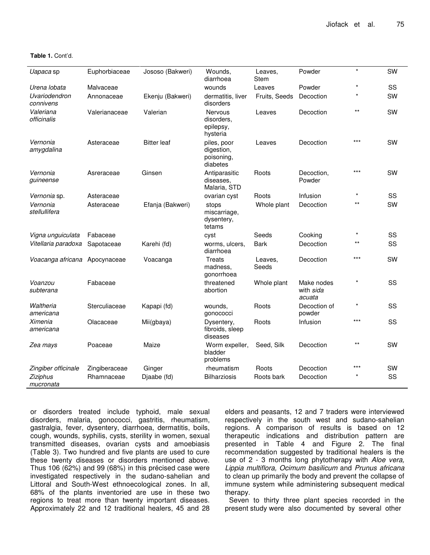**Table 1.** Cont'd.

| Uapaca sp                     | Euphorbiaceae | Jososo (Bakweri)   | Wounds,<br>diarrhoea                                  | Leaves,<br>Stem  | Powder                            | $\star$ | SW |
|-------------------------------|---------------|--------------------|-------------------------------------------------------|------------------|-----------------------------------|---------|----|
| Urena lobata                  | Malvaceae     |                    | wounds                                                | Leaves           | Powder                            | $\star$ | SS |
| Uvariodendron<br>connivens    | Annonaceae    | Ekenju (Bakweri)   | dermatitis, liver<br>disorders                        | Fruits, Seeds    | Decoction                         |         | SW |
| Valeriana<br>officinalis      | Valerianaceae | Valerian           | <b>Nervous</b><br>disorders.<br>epilepsy,<br>hysteria | Leaves           | Decoction                         | $***$   | SW |
| Vernonia<br>amygdalina        | Asteraceae    | <b>Bitter leaf</b> | piles, poor<br>digestion,<br>poisoning,<br>diabetes   | Leaves           | Decoction                         | $***$   | SW |
| Vernonia<br>quineense         | Asreraceae    | Ginsen             | Antiparasitic<br>diseases.<br>Malaria, STD            | Roots            | Decoction,<br>Powder              | $***$   | SW |
| Vernonia sp.                  | Asteraceae    |                    | ovarian cyst                                          | Roots            | Infusion                          | $\star$ | SS |
| Vernonia<br>stellullifera     | Asteraceae    | Efanja (Bakweri)   | stops<br>miscarriage,<br>dysentery,<br>tetams         | Whole plant      | Decoction                         | $***$   | SW |
| Vigna unguiculata             | Fabaceae      |                    | cyst                                                  | Seeds            | Cooking                           | $\star$ | SS |
| Vitellaria paradoxa           | Sapotaceae    | Karehi (fd)        | worms, ulcers,<br>diarrhoea                           | <b>Bark</b>      | Decoction                         | $***$   | SS |
| Voacanga africana Apocynaceae |               | Voacanga           | Treats<br>madness,<br>gonorrhoea                      | Leaves,<br>Seeds | Decoction                         | $***$   | SW |
| Voanzou<br>subterana          | Fabaceae      |                    | threatened<br>abortion                                | Whole plant      | Make nodes<br>with sida<br>acuata |         | SS |
| Waltheria<br>americana        | Sterculiaceae | Kapapi (fd)        | wounds.<br>gonococci                                  | Roots            | Decoction of<br>powder            | $\star$ | SS |
| Ximenia<br>americana          | Olacaceae     | Mii(gbaya)         | Dysentery,<br>fibroids, sleep<br>diseases             | Roots            | Infusion                          | ***     | SS |
| Zea mays                      | Poaceae       | Maize              | Worm expeller,<br>bladder<br>problems                 | Seed, Silk       | Decoction                         | $***$   | SW |
| Zingiber officinale           | Zingiberaceae | Ginger             | rheumatism                                            | Roots            | Decoction                         | $***$   | SW |
| Ziziphus<br>mucronata         | Rhamnaceae    | Djaabe (fd)        | <b>Bilharziosis</b>                                   | Roots bark       | Decoction                         |         | SS |

or disorders treated include typhoid, male sexual disorders, malaria, gonococci, gastritis, rheumatism, gastralgia, fever, dysentery, diarrhoea, dermatitis, boils, cough, wounds, syphilis, cysts, sterility in women, sexual transmitted diseases, ovarian cysts and amoebiasis (Table 3). Two hundred and five plants are used to cure these twenty diseases or disorders mentioned above. Thus 106 (62%) and 99 (68%) in this précised case were investigated respectively in the sudano-sahelian and Littoral and South-West ethnoecological zones. In all, 68% of the plants inventoried are use in these two regions to treat more than twenty important diseases. Approximately 22 and 12 traditional healers, 45 and 28

elders and peasants, 12 and 7 traders were interviewed respectively in the south west and sudano-sahelian regions. A comparison of results is based on 12 therapeutic indications and distribution pattern are presented in Table 4 and Figure 2. The final recommendation suggested by traditional healers is the use of 2 - 3 months long phytotherapy with *Aloe vera, Lippia multiflora, Ocimum basilicum* and *Prunus africana* to clean up primarily the body and prevent the collapse of immune system while administering subsequent medical therapy.

Seven to thirty three plant species recorded in the present study were also documented by several other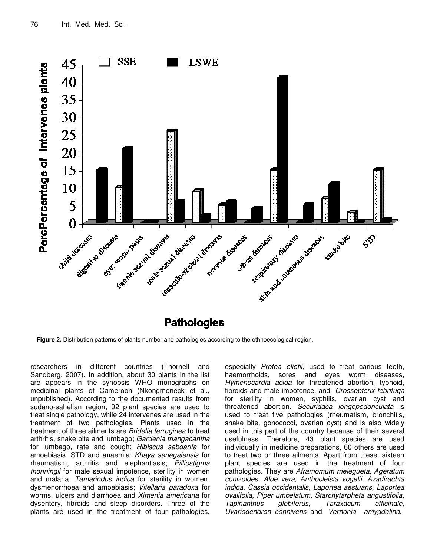

**Pathologies** 

**Figure 2.** Distribution patterns of plants number and pathologies according to the ethnoecological region.

researchers in different countries (Thornell and Sandberg, 2007). In addition, about 30 plants in the list are appears in the synopsis WHO monographs on medicinal plants of Cameroon (Nkongmeneck et al., unpublished). According to the documented results from sudano-sahelian region, 92 plant species are used to treat single pathology, while 24 intervenes are used in the treatment of two pathologies. Plants used in the treatment of three ailments are *Bridelia ferruginea* to treat arthritis, snake bite and lumbago; *Gardenia triangacantha* for lumbago, rate and cough; *Hibiscus sabdarifa* for amoebiasis, STD and anaemia; *Khaya senegalensis* for rheumatism, arthritis and elephantiasis; *Pilliostigma thonningii* for male sexual impotence, sterility in women and malaria; *Tamarindus indica* for sterility in women, dysmenorrhoea and amoebiasis; *Vitellaria paradoxa* for worms, ulcers and diarrhoea and *Ximenia americana* for dysentery, fibroids and sleep disorders. Three of the plants are used in the treatment of four pathologies,

especially *Protea eliotii,* used to treat carious teeth, haemorrhoids, sores and eyes worm diseases, *Hymenocardia acida* for threatened abortion, typhoid, fibroids and male impotence, and *Crossopterix febrifuga* for sterility in women, syphilis, ovarian cyst and threatened abortion. *Securidaca longepedonculata* is used to treat five pathologies (rheumatism, bronchitis, snake bite, gonococci, ovarian cyst) and is also widely used in this part of the country because of their several usefulness. Therefore, 43 plant species are used individually in medicine preparations, 60 others are used to treat two or three ailments. Apart from these, sixteen plant species are used in the treatment of four pathologies. They are *Aframomum melegueta, Ageratum conizoides, Aloe vera, Anthocleista vogelii, Azadirachta indica, Cassia occidentalis, Laportea aestuans, Laportea ovalifolia, Piper umbelatum, Starchytarpheta angustifolia, Tapinanthus globiferus, Taraxacum officinale, Uvariodendron connivens* and *Vernonia amygdalina*.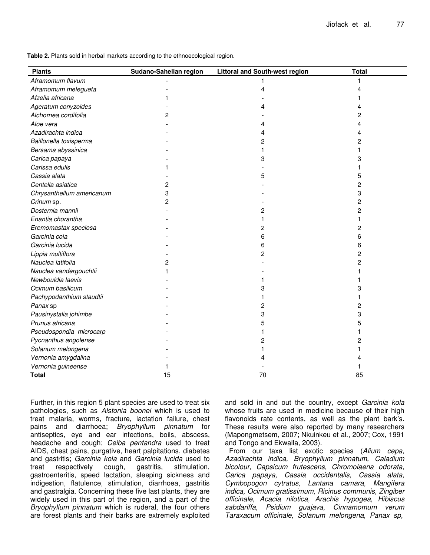**Table 2.** Plants sold in herbal markets according to the ethnoecological region.

| <b>Plants</b>             | Sudano-Sahelian region | <b>Littoral and South-west region</b> | <b>Total</b> |
|---------------------------|------------------------|---------------------------------------|--------------|
| Aframomum flavum          |                        | 1                                     |              |
| Aframomum melegueta       |                        | 4                                     | Δ            |
| Afzelia africana          |                        |                                       |              |
| Ageratum conyzoides       |                        |                                       |              |
| Alchornea cordifolia      | 2                      |                                       | 2            |
| Aloe vera                 |                        |                                       |              |
| Azadirachta indica        |                        |                                       |              |
| Baillonella toxisperma    |                        | 2                                     | 2            |
| Bersama abyssinica        |                        |                                       |              |
| Carica papaya             |                        | 3                                     | 3            |
| Carissa edulis            |                        |                                       |              |
| Cassia alata              |                        | 5                                     | 5            |
| Centella asiatica         | 2                      |                                       | 2            |
| Chrysanthellum americanum | 3                      |                                       | 3            |
| Crinum sp.                | 2                      |                                       | 2            |
| Dosternia mannii          |                        | 2                                     | 2            |
| Enantia chorantha         |                        |                                       |              |
| Eremomastax speciosa      |                        | 2                                     | 2            |
| Garcinia cola             |                        | 6                                     | 6            |
| Garcinia lucida           |                        | 6                                     | 6            |
| Lippia multiflora         |                        | 2                                     | 2            |
| Nauclea latifolia         | 2                      |                                       | 2            |
| Nauclea vandergouchtii    |                        |                                       |              |
| Newbouldia laevis         |                        |                                       |              |
| Ocimum basilicum          |                        |                                       | 3            |
| Pachypodanthium staudtii  |                        |                                       |              |
| Panax sp                  |                        | 2                                     | 2            |
| Pausinystalia johimbe     |                        | 3                                     | 3            |
| Prunus africana           |                        | 5                                     | 5            |
| Pseudospondia microcarp   |                        |                                       |              |
| Pycnanthus angolense      |                        | 2                                     | 2            |
| Solanum melongena         |                        |                                       |              |
| Vernonia amygdalina       |                        |                                       |              |
| Vernonia guineense        |                        |                                       |              |
| <b>Total</b>              | 15                     | 70                                    | 85           |

Further, in this region 5 plant species are used to treat six pathologies, such as *Alstonia boonei* which is used to treat malaria, worms, fracture, lactation failure, chest pains and diarrhoea; *Bryophyllum pinnatum* for antiseptics, eye and ear infections, boils, abscess, headache and cough; *Ceiba pentandra* used to treat AIDS, chest pains, purgative, heart palpitations, diabetes and gastritis; *Garcinia kola* and *Garcinia lucida* used to treat respectively cough, gastritis, stimulation, gastroenteritis, speed lactation, sleeping sickness and indigestion, flatulence, stimulation, diarrhoea, gastritis and gastralgia. Concerning these five last plants, they are widely used in this part of the region, and a part of the *Bryophyllum pinnatum* which is ruderal, the four others are forest plants and their barks are extremely exploited

and sold in and out the country, except *Garcinia kola* whose fruits are used in medicine because of their high flavonoids rate contents, as well as the plant bark's. These results were also reported by many researchers (Mapongmetsem, 2007; Nkuinkeu et al., 2007; Cox, 1991 and Tongo and Ekwalla, 2003).

From our taxa list exotic species (*Alium cepa, Azadirachta indica, Bryophyllum pinnatum, Caladium bicolour, Capsicum frutescens, Chromolaena odorata, Carica papaya, Cassia occidentalis, Cassia alata, Cymbopogon cytratus, Lantana camara, Mangifera indica, Ocimum gratissimum, Ricinus communis, Zingiber officinale, Acacia nilotica, Arachis hypogea, Hibiscus sabdariffa, Psidium guajava, Cinnamomum verum Taraxacum officinale, Solanum melongena, Panax sp,*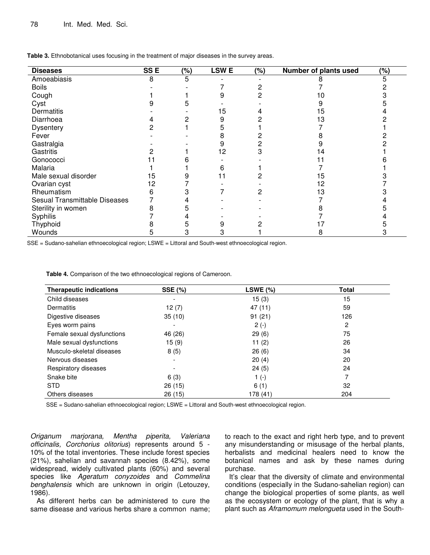| <b>Diseases</b>               | SS <sub>E</sub> | (%) | <b>LSWE</b> | $(\%)$ | Number of plants used | (%) |
|-------------------------------|-----------------|-----|-------------|--------|-----------------------|-----|
| Amoeabiasis                   | 8               | 5   |             |        |                       |     |
| <b>Boils</b>                  |                 |     |             |        |                       |     |
| Cough                         |                 |     |             |        |                       |     |
| Cyst                          |                 |     |             |        |                       |     |
| Dermatitis                    |                 |     | 15          |        | 15                    |     |
| Diarrhoea                     |                 |     |             |        |                       |     |
| <b>Dysentery</b>              |                 |     |             |        |                       |     |
| Fever                         |                 |     |             |        |                       |     |
| Gastralgia                    |                 |     |             |        |                       |     |
| Gastritis                     |                 |     | 12          |        |                       |     |
| Gonococci                     |                 |     |             |        |                       |     |
| Malaria                       |                 |     |             |        |                       |     |
| Male sexual disorder          | 15              |     |             |        | 5                     |     |
| Ovarian cyst                  | 12              |     |             |        | 2                     |     |
| Rheumatism                    |                 |     |             |        |                       |     |
| Sesual Transmittable Diseases |                 |     |             |        |                       |     |
| Sterility in women            |                 |     |             |        |                       |     |
| Syphilis                      |                 |     |             |        |                       |     |
| Thyphoid                      |                 |     |             |        |                       |     |
| Wounds                        |                 |     |             |        |                       |     |

**Table 3.** Ethnobotanical uses focusing in the treatment of major diseases in the survey areas.

SSE = Sudano-sahelian ethnoecological region; LSWE = Littoral and South-west ethnoecological region.

**Table 4.** Comparison of the two ethnoecological regions of Cameroon.

| <b>Therapeutic indications</b> | <b>SSE (%)</b> | LSWE $(\%)$ | <b>Total</b> |
|--------------------------------|----------------|-------------|--------------|
| Child diseases                 | -              | 15(3)       | 15           |
| Dermatitis                     | 12(7)          | 47 (11)     | 59           |
| Digestive diseases             | 35(10)         | 91(21)      | 126          |
| Eyes worm pains                |                | $2(-)$      | 2            |
| Female sexual dysfunctions     | 46 (26)        | 29(6)       | 75           |
| Male sexual dysfunctions       | 15(9)          | 11 $(2)$    | 26           |
| Musculo-skeletal diseases      | 8(5)           | 26(6)       | 34           |
| Nervous diseases               |                | 20(4)       | 20           |
| Respiratory diseases           |                | 24(5)       | 24           |
| Snake bite                     | 6(3)           | 1 $(-)$     |              |
| <b>STD</b>                     | 26 (15)        | 6(1)        | 32           |
| Others diseases                | 26 (15)        | 178 (41)    | 204          |

SSE = Sudano-sahelian ethnoecological region; LSWE = Littoral and South-west ethnoecological region.

*Origanum marjorana, Mentha piperita, Valeriana officinalis, Corchorius olitorius*) represents around 5 - 10% of the total inventories. These include forest species (21%), sahelian and savannah species (8.42%), some widespread, widely cultivated plants (60%) and several species like *Ageratum conyzoides* and *Commelina benghalensis* which are unknown in origin (Letouzey, 1986).

As different herbs can be administered to cure the same disease and various herbs share a common name;

to reach to the exact and right herb type, and to prevent any misunderstanding or misusage of the herbal plants, herbalists and medicinal healers need to know the botanical names and ask by these names during purchase.

It's clear that the diversity of climate and environmental conditions (especially in the Sudano-sahelian region) can change the biological properties of some plants, as well as the ecosystem or ecology of the plant, that is why a plant such as *Aframomum melongueta* used in the South